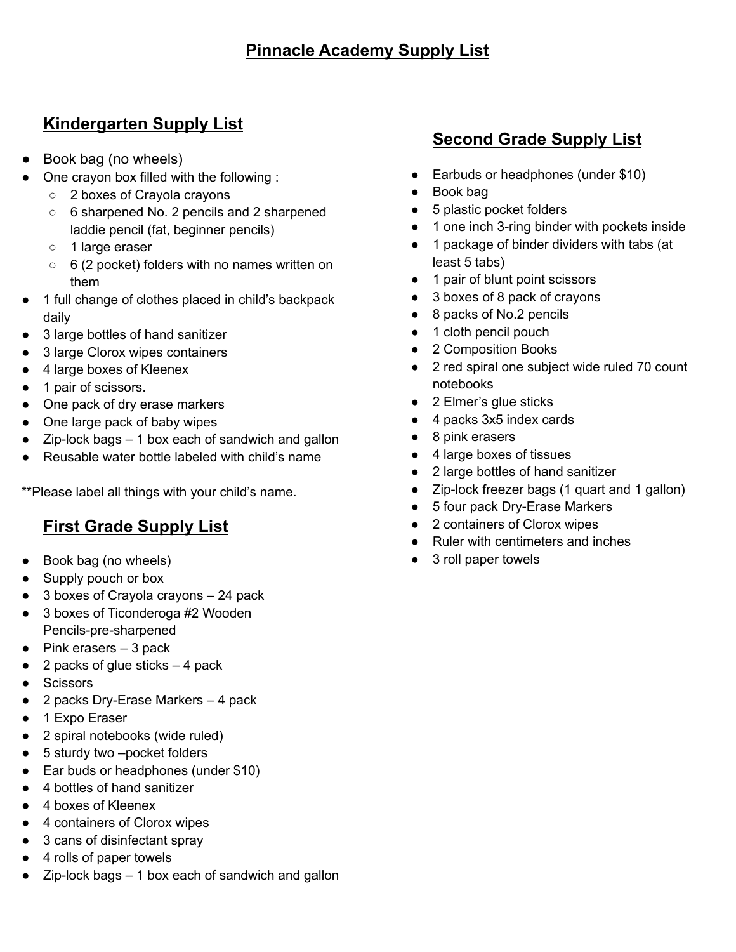## **Kindergarten Supply List**

- Book bag (no wheels)
- One crayon box filled with the following :
	- 2 boxes of Crayola crayons
	- 6 sharpened No. 2 pencils and 2 sharpened laddie pencil (fat, beginner pencils)
	- 1 large eraser
	- 6 (2 pocket) folders with no names written on them
- 1 full change of clothes placed in child's backpack daily
- 3 large bottles of hand sanitizer
- 3 large Clorox wipes containers
- 4 large boxes of Kleenex
- 1 pair of scissors.
- One pack of dry erase markers
- One large pack of baby wipes
- $\bullet$  Zip-lock bags  $-1$  box each of sandwich and gallon
- Reusable water bottle labeled with child's name

\*\*Please label all things with your child's name.

### **First Grade Supply List**

- Book bag (no wheels)
- Supply pouch or box
- 3 boxes of Crayola crayons 24 pack
- 3 boxes of Ticonderoga #2 Wooden Pencils-pre-sharpened
- $\bullet$  Pink erasers  $-3$  pack
- $\bullet$  2 packs of glue sticks  $-4$  pack
- Scissors
- 2 packs Dry-Erase Markers 4 pack
- 1 Expo Eraser
- 2 spiral notebooks (wide ruled)
- 5 sturdy two –pocket folders
- Ear buds or headphones (under \$10)
- 4 bottles of hand sanitizer
- 4 boxes of Kleenex
- 4 containers of Clorox wipes
- 3 cans of disinfectant spray
- 4 rolls of paper towels
- $Zip$ -lock bags  $-1$  box each of sandwich and gallon

# **Second Grade Supply List**

- Earbuds or headphones (under \$10)
- Book bag
- 5 plastic pocket folders
- 1 one inch 3-ring binder with pockets inside
- 1 package of binder dividers with tabs (at least 5 tabs)
- 1 pair of blunt point scissors
- 3 boxes of 8 pack of crayons
- 8 packs of No.2 pencils
- 1 cloth pencil pouch
- 2 Composition Books
- 2 red spiral one subject wide ruled 70 count notebooks
- 2 Elmer's glue sticks
- 4 packs 3x5 index cards
- 8 pink erasers
- 4 large boxes of tissues
- 2 large bottles of hand sanitizer
- Zip-lock freezer bags (1 quart and 1 gallon)
- 5 four pack Dry-Erase Markers
- 2 containers of Clorox wipes
- Ruler with centimeters and inches
- 3 roll paper towels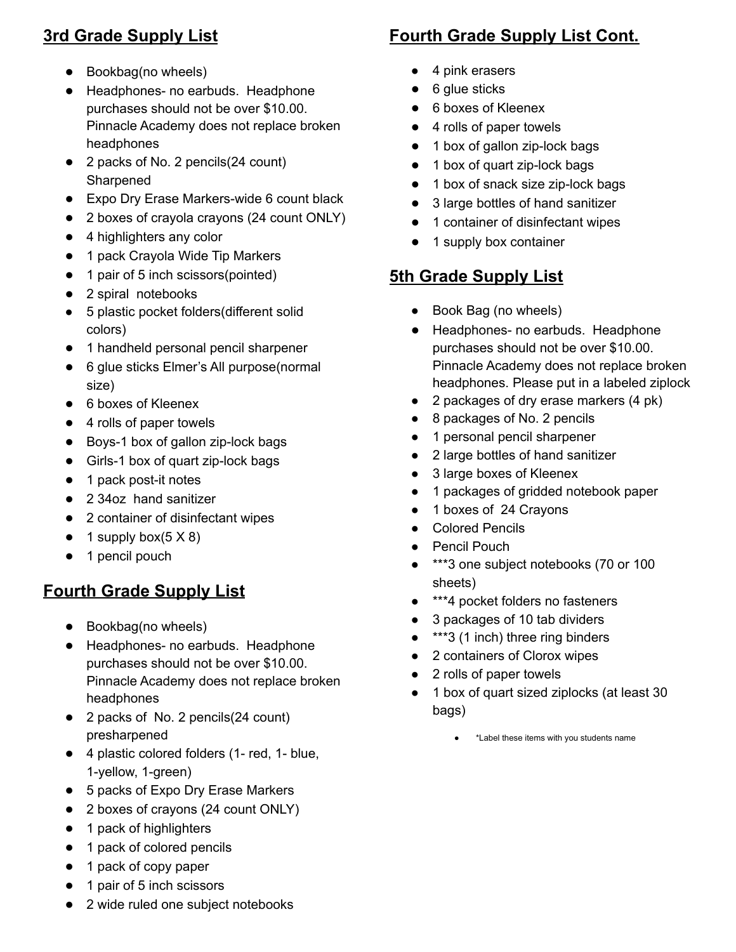# **3rd Grade Supply List**

- Bookbag(no wheels)
- Headphones- no earbuds. Headphone purchases should not be over \$10.00. Pinnacle Academy does not replace broken headphones
- 2 packs of No. 2 pencils(24 count) Sharpened
- Expo Dry Erase Markers-wide 6 count black
- 2 boxes of crayola crayons (24 count ONLY)
- 4 highlighters any color
- 1 pack Crayola Wide Tip Markers
- 1 pair of 5 inch scissors(pointed)
- 2 spiral notebooks
- 5 plastic pocket folders(different solid colors)
- 1 handheld personal pencil sharpener
- 6 glue sticks Elmer's All purpose(normal size)
- 6 boxes of Kleenex
- 4 rolls of paper towels
- Boys-1 box of gallon zip-lock bags
- Girls-1 box of quart zip-lock bags
- 1 pack post-it notes
- 2 34oz hand sanitizer
- 2 container of disinfectant wipes
- $\bullet$  1 supply box( $5 \times 8$ )
- 1 pencil pouch

### **Fourth Grade Supply List**

- Bookbag(no wheels)
- Headphones- no earbuds. Headphone purchases should not be over \$10.00. Pinnacle Academy does not replace broken headphones
- 2 packs of No. 2 pencils(24 count) presharpened
- 4 plastic colored folders (1- red, 1- blue, 1-yellow, 1-green)
- 5 packs of Expo Dry Erase Markers
- 2 boxes of crayons (24 count ONLY)
- 1 pack of highlighters
- 1 pack of colored pencils
- 1 pack of copy paper
- 1 pair of 5 inch scissors

#### 4 pink erasers  $\bullet$  6 glue sticks

- 6 boxes of Kleenex
- 4 rolls of paper towels
- 1 box of gallon zip-lock bags
- 1 box of quart zip-lock bags
- 1 box of snack size zip-lock bags
- 3 large bottles of hand sanitizer
- 1 container of disinfectant wipes
- 1 supply box container

# **5th Grade Supply List**

- Book Bag (no wheels)
- Headphones- no earbuds. Headphone purchases should not be over \$10.00. Pinnacle Academy does not replace broken headphones. Please put in a labeled ziplock
- 2 packages of dry erase markers (4 pk)
- 8 packages of No. 2 pencils
- 1 personal pencil sharpener
- 2 large bottles of hand sanitizer
- 3 large boxes of Kleenex
- 1 packages of gridded notebook paper
- 1 boxes of 24 Crayons
- Colored Pencils
- Pencil Pouch
- \*\*\*3 one subject notebooks (70 or 100 sheets)
- \*\*\*4 pocket folders no fasteners
- 3 packages of 10 tab dividers
- \*\*\*3 (1 inch) three ring binders
- 2 containers of Clorox wipes
- 2 rolls of paper towels
- 1 box of quart sized ziplocks (at least 30 bags)
	- \*Label these items with you students name

2 wide ruled one subject notebooks

# **Fourth Grade Supply List Cont.**